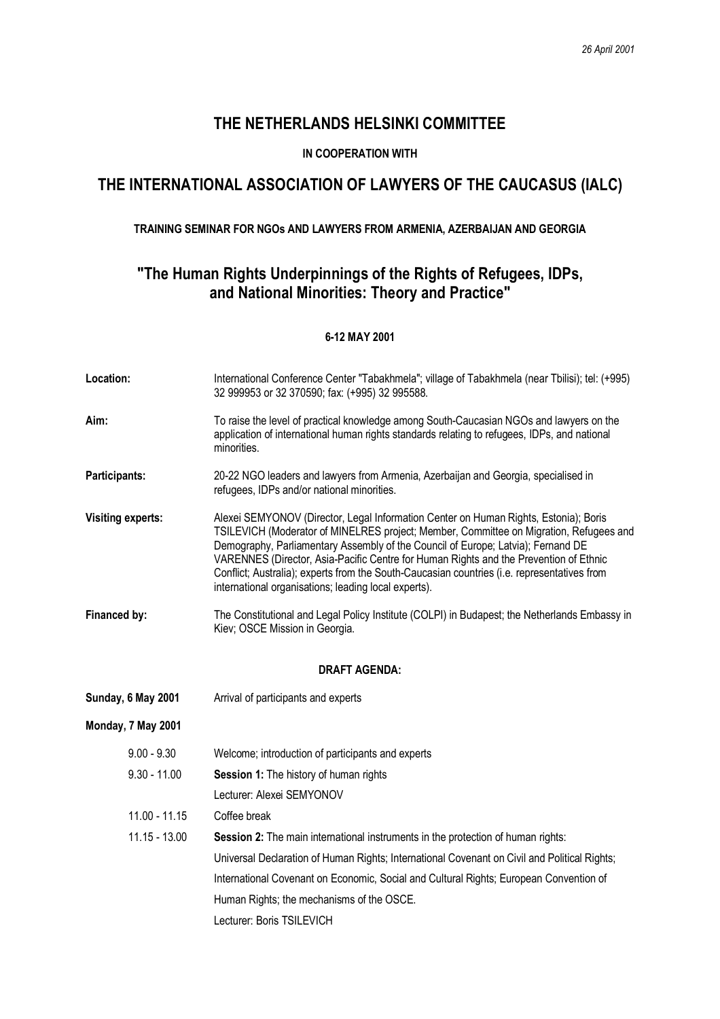## **THE NETHERLANDS HELSINKI COMMITTEE**

### **IN COOPERATION WITH**

# **THE INTERNATIONAL ASSOCIATION OF LAWYERS OF THE CAUCASUS (IALC)**

### **TRAINING SEMINAR FOR NGOs AND LAWYERS FROM ARMENIA, AZERBAIJAN AND GEORGIA**

## **"The Human Rights Underpinnings of the Rights of Refugees, IDPs, and National Minorities: Theory and Practice"**

#### **6-12 MAY 2001**

| Location:                | International Conference Center "Tabakhmela"; village of Tabakhmela (near Tbilisi); tel: (+995)<br>32 999953 or 32 370590; fax: (+995) 32 995588.                                                                                                                                                                                                                                                                                                                                                                  |  |
|--------------------------|--------------------------------------------------------------------------------------------------------------------------------------------------------------------------------------------------------------------------------------------------------------------------------------------------------------------------------------------------------------------------------------------------------------------------------------------------------------------------------------------------------------------|--|
| Aim:                     | To raise the level of practical knowledge among South-Caucasian NGOs and lawyers on the<br>application of international human rights standards relating to refugees, IDPs, and national<br>minorities.                                                                                                                                                                                                                                                                                                             |  |
| Participants:            | 20-22 NGO leaders and lawyers from Armenia, Azerbaijan and Georgia, specialised in<br>refugees, IDPs and/or national minorities.                                                                                                                                                                                                                                                                                                                                                                                   |  |
| <b>Visiting experts:</b> | Alexei SEMYONOV (Director, Legal Information Center on Human Rights, Estonia); Boris<br>TSILEVICH (Moderator of MINELRES project; Member, Committee on Migration, Refugees and<br>Demography, Parliamentary Assembly of the Council of Europe; Latvia); Fernand DE<br>VARENNES (Director, Asia-Pacific Centre for Human Rights and the Prevention of Ethnic<br>Conflict; Australia); experts from the South-Caucasian countries (i.e. representatives from<br>international organisations; leading local experts). |  |
| Financed by:             | The Constitutional and Legal Policy Institute (COLPI) in Budapest; the Netherlands Embassy in<br>Kiev; OSCE Mission in Georgia.                                                                                                                                                                                                                                                                                                                                                                                    |  |
| <b>DRAFT AGENDA:</b>     |                                                                                                                                                                                                                                                                                                                                                                                                                                                                                                                    |  |
|                          |                                                                                                                                                                                                                                                                                                                                                                                                                                                                                                                    |  |
| Sunday, 6 May 2001       | Arrival of participants and experts                                                                                                                                                                                                                                                                                                                                                                                                                                                                                |  |
| Monday, 7 May 2001       |                                                                                                                                                                                                                                                                                                                                                                                                                                                                                                                    |  |
| $9.00 - 9.30$            | Welcome; introduction of participants and experts                                                                                                                                                                                                                                                                                                                                                                                                                                                                  |  |
| $9.30 - 11.00$           | Session 1: The history of human rights                                                                                                                                                                                                                                                                                                                                                                                                                                                                             |  |
|                          | Lecturer: Alexei SEMYONOV                                                                                                                                                                                                                                                                                                                                                                                                                                                                                          |  |
| $11.00 - 11.15$          | Coffee break                                                                                                                                                                                                                                                                                                                                                                                                                                                                                                       |  |
| $11.15 - 13.00$          | Session 2: The main international instruments in the protection of human rights:                                                                                                                                                                                                                                                                                                                                                                                                                                   |  |
|                          | Universal Declaration of Human Rights; International Covenant on Civil and Political Rights;                                                                                                                                                                                                                                                                                                                                                                                                                       |  |
|                          | International Covenant on Economic, Social and Cultural Rights; European Convention of                                                                                                                                                                                                                                                                                                                                                                                                                             |  |
|                          | Human Rights; the mechanisms of the OSCE.                                                                                                                                                                                                                                                                                                                                                                                                                                                                          |  |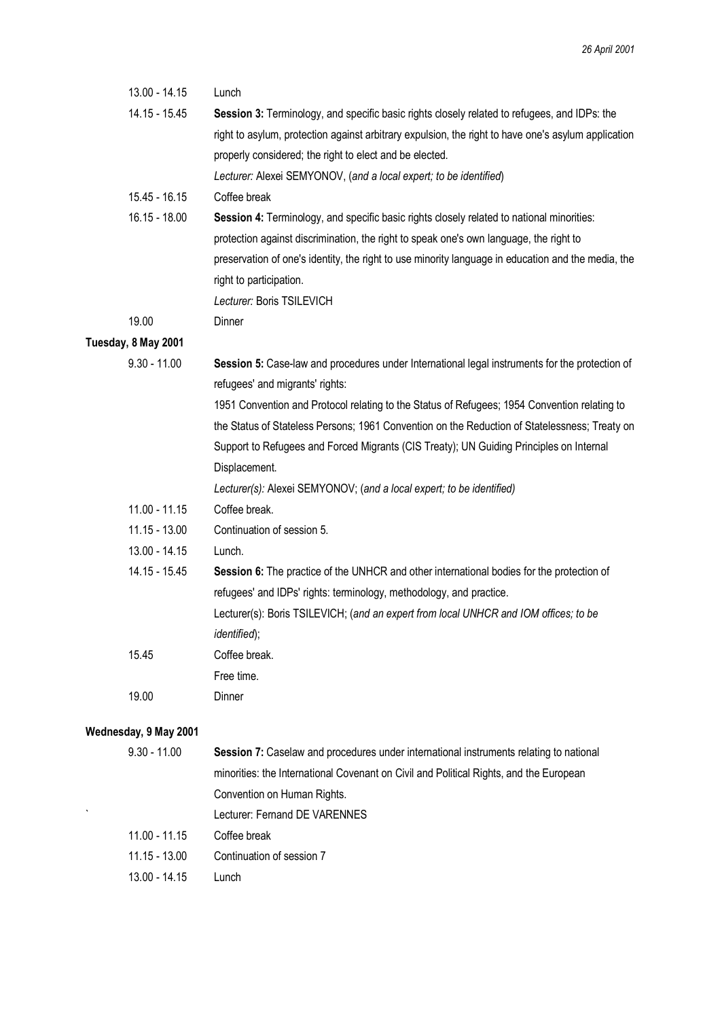| 13.00 - 14.15         | Lunch                                                                                               |
|-----------------------|-----------------------------------------------------------------------------------------------------|
| 14.15 - 15.45         | Session 3: Terminology, and specific basic rights closely related to refugees, and IDPs: the        |
|                       | right to asylum, protection against arbitrary expulsion, the right to have one's asylum application |
|                       | properly considered; the right to elect and be elected.                                             |
|                       | Lecturer: Alexei SEMYONOV, (and a local expert; to be identified)                                   |
| 15.45 - 16.15         | Coffee break                                                                                        |
| 16.15 - 18.00         | Session 4: Terminology, and specific basic rights closely related to national minorities:           |
|                       | protection against discrimination, the right to speak one's own language, the right to              |
|                       | preservation of one's identity, the right to use minority language in education and the media, the  |
|                       | right to participation.                                                                             |
|                       | Lecturer: Boris TSILEVICH                                                                           |
| 19.00                 | Dinner                                                                                              |
| Tuesday, 8 May 2001   |                                                                                                     |
| $9.30 - 11.00$        | Session 5: Case-law and procedures under International legal instruments for the protection of      |
|                       | refugees' and migrants' rights:                                                                     |
|                       | 1951 Convention and Protocol relating to the Status of Refugees; 1954 Convention relating to        |
|                       | the Status of Stateless Persons; 1961 Convention on the Reduction of Statelessness; Treaty on       |
|                       | Support to Refugees and Forced Migrants (CIS Treaty); UN Guiding Principles on Internal             |
|                       | Displacement.                                                                                       |
|                       | Lecturer(s): Alexei SEMYONOV; (and a local expert; to be identified)                                |
| 11.00 - 11.15         | Coffee break.                                                                                       |
| $11.15 - 13.00$       | Continuation of session 5.                                                                          |
| 13.00 - 14.15         | Lunch.                                                                                              |
| 14.15 - 15.45         | Session 6: The practice of the UNHCR and other international bodies for the protection of           |
|                       | refugees' and IDPs' rights: terminology, methodology, and practice.                                 |
|                       | Lecturer(s): Boris TSILEVICH; (and an expert from local UNHCR and IOM offices; to be                |
|                       | identified);                                                                                        |
| 15.45                 | Coffee break.                                                                                       |
|                       | Free time.                                                                                          |
| 19.00                 | Dinner                                                                                              |
| Wednesday, 9 May 2001 |                                                                                                     |
| $9.30 - 11.00$        | Session 7: Caselaw and procedures under international instruments relating to national              |
|                       | minorities: the International Covenant on Civil and Political Rights, and the European              |
|                       | Convention on Human Rights.                                                                         |

- ` Lecturer: Fernand DE VARENNES
	- 11.00 11.15 Coffee break
	- 11.15 13.00 Continuation of session 7
	- 13.00 14.15 Lunch